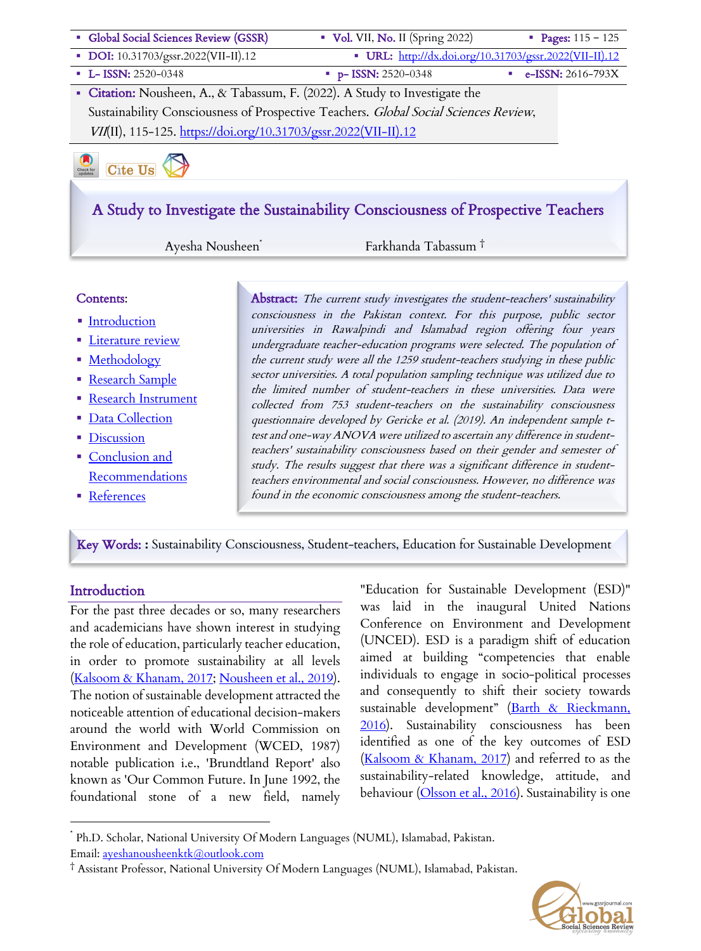

# A Study to Investigate the Sustainability Consciousness of Prospective Teachers

Ayesha Nousheen\* Farkhanda Tabassum †

#### Contents:

- Introduction
- **Eiterature review**
- **Methodology**
- § Research Sample
- § Research Instrument
- Data Collection
- Discussion
- Conclusion and Recommendations
- References

Abstract: The current study investigates the student-teachers' sustainability consciousness in the Pakistan context. For this purpose, public sector universities in Rawalpindi and Islamabad region offering four years undergraduate teacher-education programs were selected. The population of the current study were all the 1259 student-teachers studying in these public sector universities. A total population sampling technique was utilized due to the limited number of student-teachers in these universities. Data were collected from 753 student-teachers on the sustainability consciousness questionnaire developed by Gericke et al. (2019). An independent sample ttest and one-way ANOVA were utilized to ascertain any difference in studentteachers' sustainability consciousness based on their gender and semester of study. The results suggest that there was a significant difference in studentteachers environmental and social consciousness. However, no difference was found in the economic consciousness among the student-teachers.

Key Words: **:** Sustainability Consciousness, Student-teachers, Education for Sustainable Development

## **Introduction**

For the past three decades or so, many researchers and academicians have shown interest in studying the role of education, particularly teacher education, in order to promote sustainability at all levels (Kalsoom & Khanam, 2017; Nousheen et al., 2019). The notion of sustainable development attracted the noticeable attention of educational decision-makers around the world with World Commission on Environment and Development (WCED, 1987) notable publication i.e., 'Brundtland Report' also known as 'Our Common Future. In June 1992, the foundational stone of a new field, namely "Education for Sustainable Development (ESD)" was laid in the inaugural United Nations Conference on Environment and Development (UNCED). ESD is a paradigm shift of education aimed at building "competencies that enable individuals to engage in socio‐political processes and consequently to shift their society towards sustainable development" (Barth & Rieckmann, 2016). Sustainability consciousness has been identified as one of the key outcomes of ESD (Kalsoom & Khanam, 2017) and referred to as the sustainability-related knowledge, attitude, and behaviour (Olsson et al., 2016). Sustainability is one

<sup>†</sup> Assistant Professor, National University Of Modern Languages (NUML), Islamabad, Pakistan.



<sup>\*</sup> Ph.D. Scholar, National University Of Modern Languages (NUML), Islamabad, Pakistan. Email: ayeshanousheenktk@outlook.com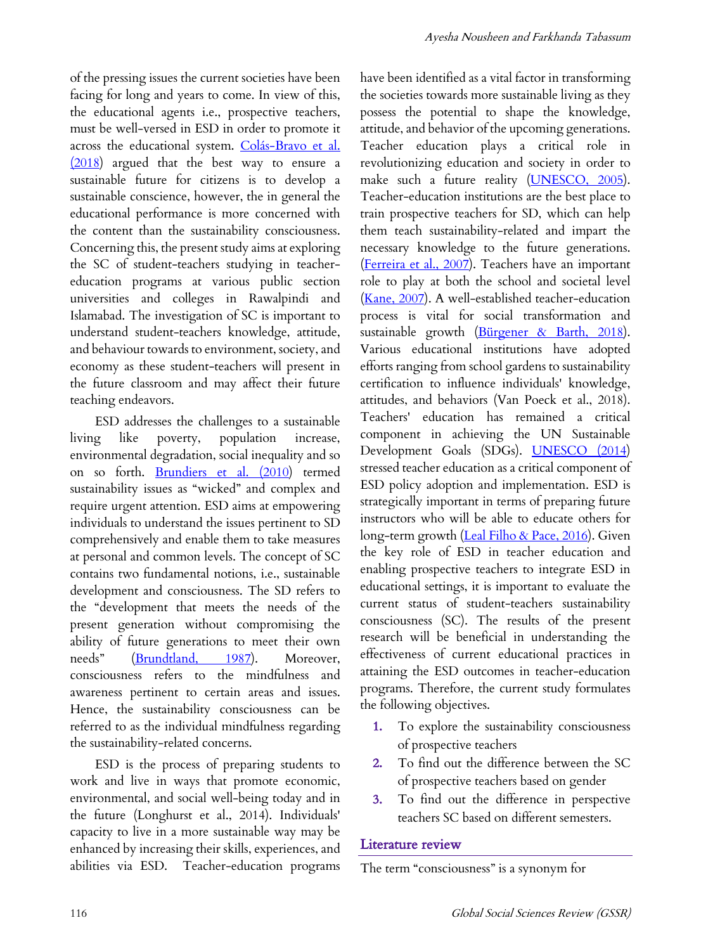of the pressing issues the current societies have been facing for long and years to come. In view of this, the educational agents i.e., prospective teachers, must be well-versed in ESD in order to promote it across the educational system. Colás-Bravo et al. (2018) argued that the best way to ensure a sustainable future for citizens is to develop a sustainable conscience, however, the in general the educational performance is more concerned with the content than the sustainability consciousness. Concerning this, the present study aims at exploring the SC of student-teachers studying in teachereducation programs at various public section universities and colleges in Rawalpindi and Islamabad. The investigation of SC is important to understand student-teachers knowledge, attitude, and behaviour towards to environment, society, and economy as these student-teachers will present in the future classroom and may affect their future teaching endeavors.

ESD addresses the challenges to a sustainable living like poverty, population increase, environmental degradation, social inequality and so on so forth. Brundiers et al. (2010) termed sustainability issues as "wicked" and complex and require urgent attention. ESD aims at empowering individuals to understand the issues pertinent to SD comprehensively and enable them to take measures at personal and common levels. The concept of SC contains two fundamental notions, i.e., sustainable development and consciousness. The SD refers to the "development that meets the needs of the present generation without compromising the ability of future generations to meet their own needs" (Brundtland, 1987). Moreover, consciousness refers to the mindfulness and awareness pertinent to certain areas and issues. Hence, the sustainability consciousness can be referred to as the individual mindfulness regarding the sustainability-related concerns.

ESD is the process of preparing students to work and live in ways that promote economic, environmental, and social well-being today and in the future (Longhurst et al., 2014). Individuals' capacity to live in a more sustainable way may be enhanced by increasing their skills, experiences, and abilities via ESD. Teacher-education programs have been identified as a vital factor in transforming the societies towards more sustainable living as they possess the potential to shape the knowledge, attitude, and behavior of the upcoming generations. Teacher education plays a critical role in revolutionizing education and society in order to make such a future reality (UNESCO, 2005). Teacher-education institutions are the best place to train prospective teachers for SD, which can help them teach sustainability-related and impart the necessary knowledge to the future generations. (Ferreira et al., 2007). Teachers have an important role to play at both the school and societal level (Kane, 2007). A well-established teacher-education process is vital for social transformation and sustainable growth (Bürgener & Barth, 2018). Various educational institutions have adopted efforts ranging from school gardens to sustainability certification to influence individuals' knowledge, attitudes, and behaviors (Van Poeck et al., 2018). Teachers' education has remained a critical component in achieving the UN Sustainable Development Goals (SDGs). **UNESCO** (2014) stressed teacher education as a critical component of ESD policy adoption and implementation. ESD is strategically important in terms of preparing future instructors who will be able to educate others for long-term growth (Leal Filho & Pace, 2016). Given the key role of ESD in teacher education and enabling prospective teachers to integrate ESD in educational settings, it is important to evaluate the current status of student-teachers sustainability consciousness (SC). The results of the present research will be beneficial in understanding the effectiveness of current educational practices in attaining the ESD outcomes in teacher-education programs. Therefore, the current study formulates the following objectives.

- 1. To explore the sustainability consciousness of prospective teachers
- 2. To find out the difference between the SC of prospective teachers based on gender
- 3. To find out the difference in perspective teachers SC based on different semesters.

## Literature review

The term "consciousness" is a synonym for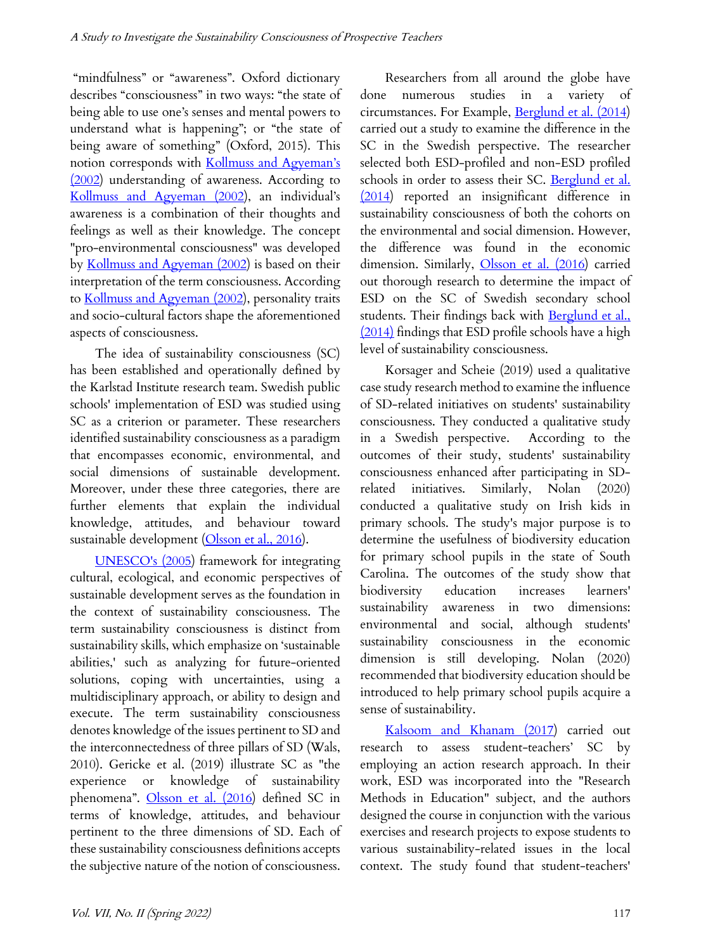"mindfulness" or "awareness". Oxford dictionary describes "consciousness" in two ways: "the state of being able to use one's senses and mental powers to understand what is happening"; or "the state of being aware of something" (Oxford, 2015). This notion corresponds with Kollmuss and Agyeman's (2002) understanding of awareness. According to Kollmuss and Agyeman (2002), an individual's awareness is a combination of their thoughts and feelings as well as their knowledge. The concept "pro-environmental consciousness" was developed by Kollmuss and Agyeman (2002) is based on their interpretation of the term consciousness. According to Kollmuss and Agyeman (2002), personality traits and socio-cultural factors shape the aforementioned aspects of consciousness.

The idea of sustainability consciousness (SC) has been established and operationally defined by the Karlstad Institute research team. Swedish public schools' implementation of ESD was studied using SC as a criterion or parameter. These researchers identified sustainability consciousness as a paradigm that encompasses economic, environmental, and social dimensions of sustainable development. Moreover, under these three categories, there are further elements that explain the individual knowledge, attitudes, and behaviour toward sustainable development (Olsson et al., 2016).

UNESCO's (2005) framework for integrating cultural, ecological, and economic perspectives of sustainable development serves as the foundation in the context of sustainability consciousness. The term sustainability consciousness is distinct from sustainability skills, which emphasize on 'sustainable abilities,' such as analyzing for future-oriented solutions, coping with uncertainties, using a multidisciplinary approach, or ability to design and execute. The term sustainability consciousness denotes knowledge of the issues pertinent to SD and the interconnectedness of three pillars of SD (Wals, 2010). Gericke et al. (2019) illustrate SC as "the experience or knowledge of sustainability phenomena". Olsson et al. (2016) defined SC in terms of knowledge, attitudes, and behaviour pertinent to the three dimensions of SD. Each of these sustainability consciousness definitions accepts the subjective nature of the notion of consciousness.

Researchers from all around the globe have done numerous studies in a variety of circumstances. For Example, Berglund et al. (2014) carried out a study to examine the difference in the SC in the Swedish perspective. The researcher selected both ESD-profiled and non-ESD profiled schools in order to assess their SC. Berglund et al. (2014) reported an insignificant difference in sustainability consciousness of both the cohorts on the environmental and social dimension. However, the difference was found in the economic dimension. Similarly, Olsson et al. (2016) carried out thorough research to determine the impact of ESD on the SC of Swedish secondary school students. Their findings back with Berglund et al., (2014) findings that ESD profile schools have a high level of sustainability consciousness.

Korsager and Scheie (2019) used a qualitative case study research method to examine the influence of SD-related initiatives on students' sustainability consciousness. They conducted a qualitative study in a Swedish perspective. According to the outcomes of their study, students' sustainability consciousness enhanced after participating in SDrelated initiatives. Similarly, Nolan (2020) conducted a qualitative study on Irish kids in primary schools. The study's major purpose is to determine the usefulness of biodiversity education for primary school pupils in the state of South Carolina. The outcomes of the study show that biodiversity education increases learners' sustainability awareness in two dimensions: environmental and social, although students' sustainability consciousness in the economic dimension is still developing. Nolan (2020) recommended that biodiversity education should be introduced to help primary school pupils acquire a sense of sustainability.

Kalsoom and Khanam (2017) carried out research to assess student-teachers' SC by employing an action research approach. In their work, ESD was incorporated into the "Research Methods in Education" subject, and the authors designed the course in conjunction with the various exercises and research projects to expose students to various sustainability-related issues in the local context. The study found that student-teachers'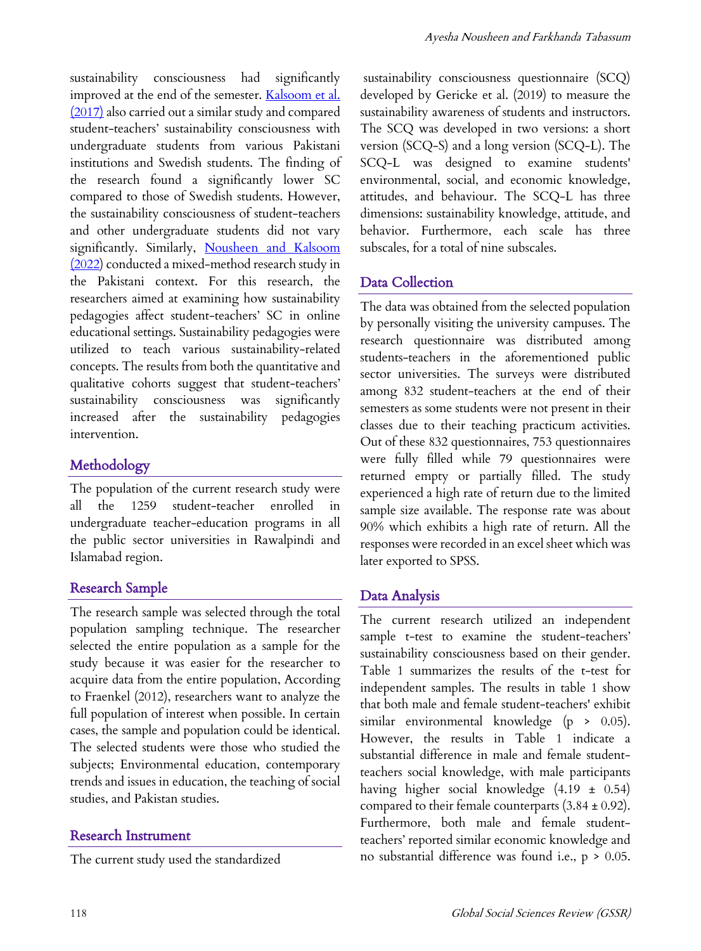sustainability consciousness had significantly improved at the end of the semester. Kalsoom et al. (2017) also carried out a similar study and compared student-teachers' sustainability consciousness with undergraduate students from various Pakistani institutions and Swedish students. The finding of the research found a significantly lower SC compared to those of Swedish students. However, the sustainability consciousness of student-teachers and other undergraduate students did not vary significantly. Similarly, Nousheen and Kalsoom (2022) conducted a mixed-method research study in the Pakistani context. For this research, the researchers aimed at examining how sustainability pedagogies affect student-teachers' SC in online educational settings. Sustainability pedagogies were utilized to teach various sustainability-related concepts. The results from both the quantitative and qualitative cohorts suggest that student-teachers' sustainability consciousness was significantly increased after the sustainability pedagogies intervention.

# Methodology

The population of the current research study were all the 1259 student-teacher enrolled in undergraduate teacher-education programs in all the public sector universities in Rawalpindi and Islamabad region.

# Research Sample

The research sample was selected through the total population sampling technique. The researcher selected the entire population as a sample for the study because it was easier for the researcher to acquire data from the entire population, According to Fraenkel (2012), researchers want to analyze the full population of interest when possible. In certain cases, the sample and population could be identical. The selected students were those who studied the subjects; Environmental education, contemporary trends and issues in education, the teaching of social studies, and Pakistan studies.

## Research Instrument

The current study used the standardized

sustainability consciousness questionnaire (SCQ) developed by Gericke et al. (2019) to measure the sustainability awareness of students and instructors. The SCQ was developed in two versions: a short version (SCQ-S) and a long version (SCQ-L). The SCQ-L was designed to examine students' environmental, social, and economic knowledge, attitudes, and behaviour. The SCQ-L has three dimensions: sustainability knowledge, attitude, and behavior. Furthermore, each scale has three subscales, for a total of nine subscales.

# Data Collection

The data was obtained from the selected population by personally visiting the university campuses. The research questionnaire was distributed among students-teachers in the aforementioned public sector universities. The surveys were distributed among 832 student-teachers at the end of their semesters as some students were not present in their classes due to their teaching practicum activities. Out of these 832 questionnaires, 753 questionnaires were fully filled while 79 questionnaires were returned empty or partially filled. The study experienced a high rate of return due to the limited sample size available. The response rate was about 90% which exhibits a high rate of return. All the responses were recorded in an excel sheet which was later exported to SPSS.

# Data Analysis

The current research utilized an independent sample t-test to examine the student-teachers' sustainability consciousness based on their gender. Table 1 summarizes the results of the t-test for independent samples. The results in table 1 show that both male and female student-teachers' exhibit similar environmental knowledge (p > 0.05). However, the results in Table 1 indicate a substantial difference in male and female studentteachers social knowledge, with male participants having higher social knowledge (4.19 ± 0.54) compared to their female counterparts  $(3.84 \pm 0.92)$ . Furthermore, both male and female studentteachers' reported similar economic knowledge and no substantial difference was found i.e.,  $p > 0.05$ .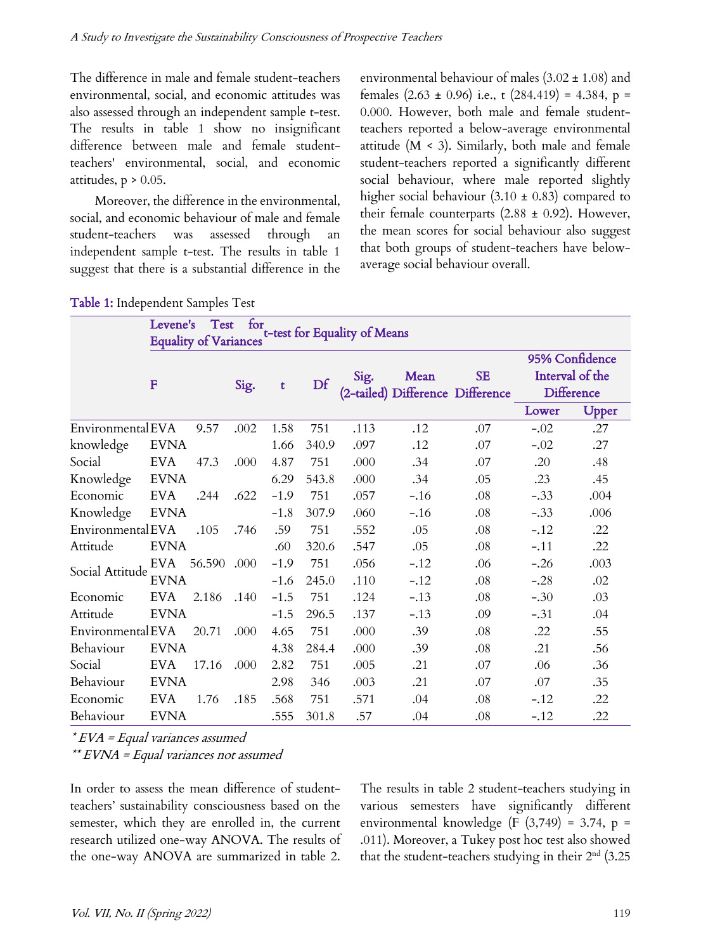The difference in male and female student-teachers environmental, social, and economic attitudes was also assessed through an independent sample t-test. The results in table 1 show no insignificant difference between male and female studentteachers' environmental, social, and economic attitudes,  $p > 0.05$ .

Moreover, the difference in the environmental, social, and economic behaviour of male and female student-teachers was assessed through independent sample t-test. The results in table 1 suggest that there is a substantial difference in the environmental behaviour of males  $(3.02 \pm 1.08)$  and females  $(2.63 \pm 0.96)$  i.e., t  $(284.419) = 4.384$ , p = 0.000. However, both male and female studentteachers reported a below-average environmental attitude (M < 3). Similarly, both male and female student-teachers reported a significantly different social behaviour, where male reported slightly higher social behaviour  $(3.10 \pm 0.83)$  compared to their female counterparts  $(2.88 \pm 0.92)$ . However, the mean scores for social behaviour also suggest that both groups of student-teachers have belowaverage social behaviour overall.

| Table 1: Independent Samples Test |
|-----------------------------------|
|-----------------------------------|

| for<br>Test<br>Levene's<br>t-test for Equality of Means<br><b>Equality of Variances</b> |                 |       |      |        |       |      |        |                                        |                 |       |  |  |
|-----------------------------------------------------------------------------------------|-----------------|-------|------|--------|-------|------|--------|----------------------------------------|-----------------|-------|--|--|
|                                                                                         |                 |       |      |        |       |      |        |                                        | 95% Confidence  |       |  |  |
|                                                                                         | F               |       | Sig. | t      | Df    | Sig. | Mean   | SE<br>(2-tailed) Difference Difference | Interval of the |       |  |  |
|                                                                                         |                 |       |      |        |       |      |        |                                        | Difference      |       |  |  |
|                                                                                         |                 |       |      |        |       |      |        |                                        | Lower           | Upper |  |  |
| Environmental EVA                                                                       |                 | 9.57  | .002 | 1.58   | 751   | .113 | .12    | .07                                    | $-.02$          | .27   |  |  |
| knowledge                                                                               | <b>EVNA</b>     |       |      | 1.66   | 340.9 | .097 | .12    | .07                                    | $-.02$          | .27   |  |  |
| Social                                                                                  | EVA             | 47.3  | .000 | 4.87   | 751   | .000 | .34    | .07                                    | .20             | .48   |  |  |
| Knowledge                                                                               | <b>EVNA</b>     |       |      | 6.29   | 543.8 | .000 | .34    | .05                                    | .23             | .45   |  |  |
| Economic                                                                                | EVA             | .244  | .622 | $-1.9$ | 751   | .057 | $-.16$ | .08                                    | $-.33$          | .004  |  |  |
| Knowledge                                                                               | <b>EVNA</b>     |       |      | $-1.8$ | 307.9 | .060 | $-.16$ | .08                                    | $-.33$          | .006  |  |  |
| Environmental EVA                                                                       |                 | .105  | .746 | .59    | 751   | .552 | .05    | .08                                    | $-.12$          | .22   |  |  |
| Attitude                                                                                | <b>EVNA</b>     |       |      | .60    | 320.6 | .547 | .05    | .08                                    | $-.11$          | .22   |  |  |
| Social Attitude                                                                         | EVA 56.590 .000 |       |      | $-1.9$ | 751   | .056 | $-.12$ | .06                                    | $-.26$          | .003  |  |  |
|                                                                                         | <b>EVNA</b>     |       |      | $-1.6$ | 245.0 | .110 | $-.12$ | .08                                    | $-.28$          | .02   |  |  |
| Economic                                                                                | <b>EVA</b>      | 2.186 | .140 | $-1.5$ | 751   | .124 | $-.13$ | .08                                    | $-.30$          | .03   |  |  |
| Attitude                                                                                | <b>EVNA</b>     |       |      | $-1.5$ | 296.5 | .137 | $-.13$ | .09                                    | $-.31$          | .04   |  |  |
| Environmental EVA                                                                       |                 | 20.71 | .000 | 4.65   | 751   | .000 | .39    | .08                                    | .22             | .55   |  |  |
| Behaviour                                                                               | <b>EVNA</b>     |       |      | 4.38   | 284.4 | .000 | .39    | .08                                    | .21             | .56   |  |  |
| Social                                                                                  | <b>EVA</b>      | 17.16 | .000 | 2.82   | 751   | .005 | .21    | .07                                    | .06             | .36   |  |  |
| Behaviour                                                                               | <b>EVNA</b>     |       |      | 2.98   | 346   | .003 | .21    | .07                                    | .07             | .35   |  |  |
| Economic                                                                                | <b>EVA</b>      | 1.76  | .185 | .568   | 751   | .571 | .04    | $.08\,$                                | $-.12$          | .22   |  |  |
| Behaviour                                                                               | <b>EVNA</b>     |       |      | .555   | 301.8 | .57  | .04    | .08                                    | $-.12$          | .22   |  |  |

 $*$  EVA = Equal variances assumed

\*\* EVNA = Equal variances not assumed

In order to assess the mean difference of studentteachers' sustainability consciousness based on the semester, which they are enrolled in, the current research utilized one-way ANOVA. The results of the one-way ANOVA are summarized in table 2.

The results in table 2 student-teachers studying in various semesters have significantly different environmental knowledge (F (3,749) = 3.74, p = .011). Moreover, a Tukey post hoc test also showed that the student-teachers studying in their  $2<sup>nd</sup>$  (3.25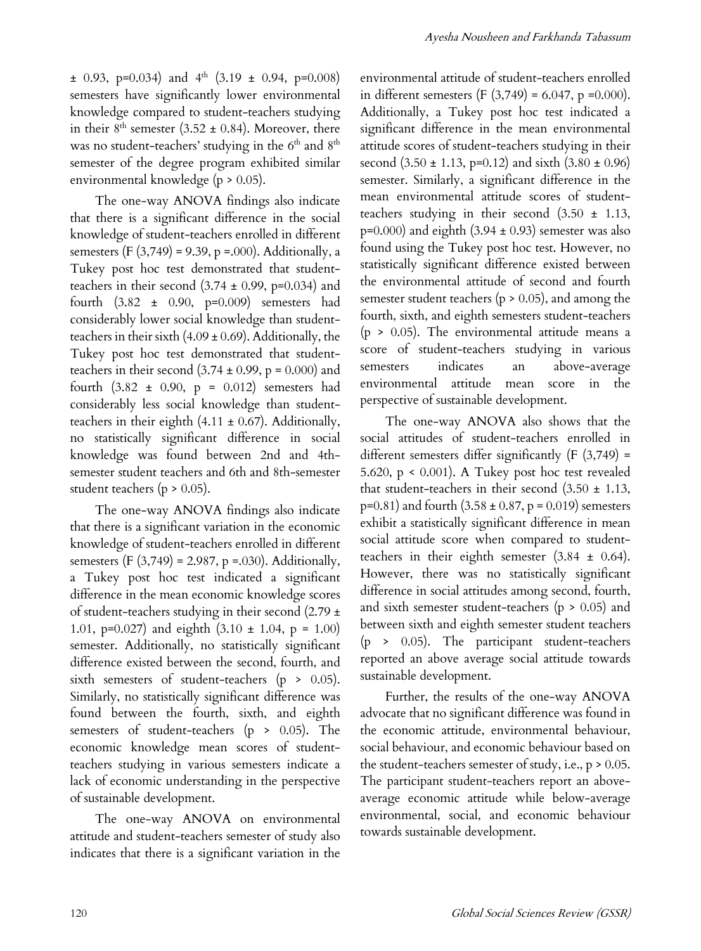$\pm$  0.93, p=0.034) and 4<sup>th</sup> (3.19  $\pm$  0.94, p=0.008) semesters have significantly lower environmental knowledge compared to student-teachers studying in their  $8^{th}$  semester (3.52  $\pm$  0.84). Moreover, there was no student-teachers' studying in the 6<sup>th</sup> and 8<sup>th</sup> semester of the degree program exhibited similar environmental knowledge (p > 0.05).

The one-way ANOVA findings also indicate that there is a significant difference in the social knowledge of student-teachers enrolled in different semesters (F  $(3,749) = 9.39$ , p =.000). Additionally, a Tukey post hoc test demonstrated that studentteachers in their second  $(3.74 \pm 0.99, p=0.034)$  and fourth (3.82 ± 0.90, p=0.009) semesters had considerably lower social knowledge than studentteachers in their sixth  $(4.09 \pm 0.69)$ . Additionally, the Tukey post hoc test demonstrated that studentteachers in their second  $(3.74 \pm 0.99, p = 0.000)$  and fourth  $(3.82 \pm 0.90, p = 0.012)$  semesters had considerably less social knowledge than studentteachers in their eighth  $(4.11 \pm 0.67)$ . Additionally, no statistically significant difference in social knowledge was found between 2nd and 4thsemester student teachers and 6th and 8th-semester student teachers ( $p > 0.05$ ).

The one-way ANOVA findings also indicate that there is a significant variation in the economic knowledge of student-teachers enrolled in different semesters (F (3,749) = 2.987, p =.030). Additionally, a Tukey post hoc test indicated a significant difference in the mean economic knowledge scores of student-teachers studying in their second (2.79 ± 1.01, p=0.027) and eighth  $(3.10 \pm 1.04, p = 1.00)$ semester. Additionally, no statistically significant difference existed between the second, fourth, and sixth semesters of student-teachers ( $p > 0.05$ ). Similarly, no statistically significant difference was found between the fourth, sixth, and eighth semesters of student-teachers (p > 0.05). The economic knowledge mean scores of studentteachers studying in various semesters indicate a lack of economic understanding in the perspective of sustainable development.

The one-way ANOVA on environmental attitude and student-teachers semester of study also indicates that there is a significant variation in the

environmental attitude of student-teachers enrolled in different semesters (F  $(3,749) = 6.047$ , p =0.000). Additionally, a Tukey post hoc test indicated a significant difference in the mean environmental attitude scores of student-teachers studying in their second  $(3.50 \pm 1.13, p=0.12)$  and sixth  $(3.80 \pm 0.96)$ semester. Similarly, a significant difference in the mean environmental attitude scores of studentteachers studying in their second (3.50 ± 1.13,  $p=0.000$ ) and eighth  $(3.94 \pm 0.93)$  semester was also found using the Tukey post hoc test. However, no statistically significant difference existed between the environmental attitude of second and fourth semester student teachers ( $p > 0.05$ ), and among the fourth, sixth, and eighth semesters student-teachers  $(p > 0.05)$ . The environmental attitude means a score of student-teachers studying in various semesters indicates an above-average environmental attitude mean score in the perspective of sustainable development.

The one-way ANOVA also shows that the social attitudes of student-teachers enrolled in different semesters differ significantly  $(F(3,749) =$ 5.620, p < 0.001). A Tukey post hoc test revealed that student-teachers in their second  $(3.50 \pm 1.13,$  $p=0.81$ ) and fourth  $(3.58 \pm 0.87, p = 0.019)$  semesters exhibit a statistically significant difference in mean social attitude score when compared to studentteachers in their eighth semester  $(3.84 \pm 0.64)$ . However, there was no statistically significant difference in social attitudes among second, fourth, and sixth semester student-teachers ( $p > 0.05$ ) and between sixth and eighth semester student teachers (p > 0.05). The participant student-teachers reported an above average social attitude towards sustainable development.

Further, the results of the one-way ANOVA advocate that no significant difference was found in the economic attitude, environmental behaviour, social behaviour, and economic behaviour based on the student-teachers semester of study, i.e., p > 0.05. The participant student-teachers report an aboveaverage economic attitude while below-average environmental, social, and economic behaviour towards sustainable development.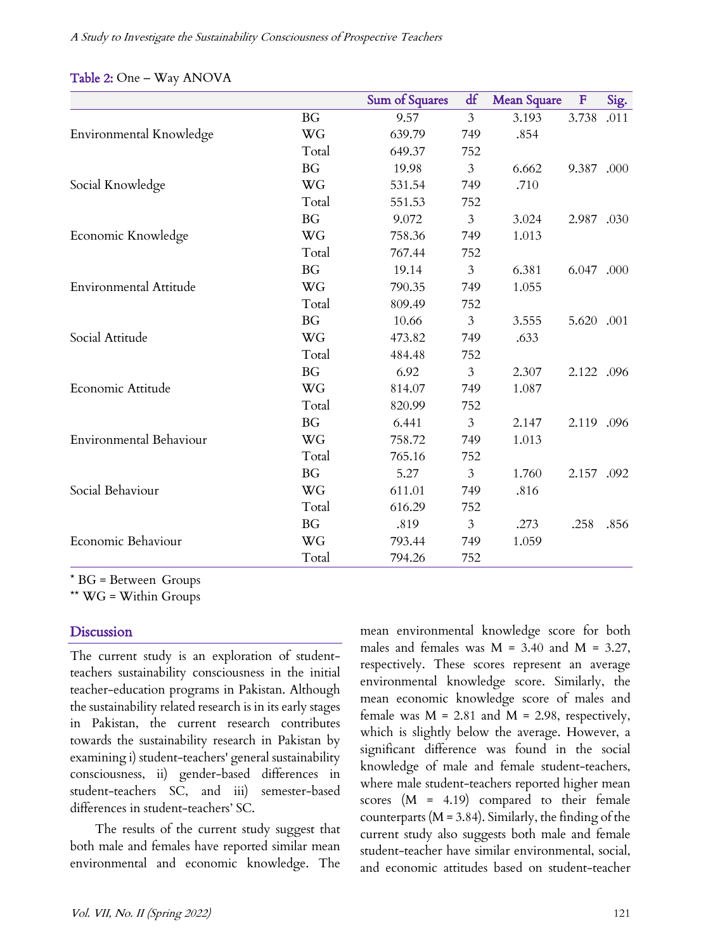|                               |           | Sum of Squares | df             | <b>Mean Square</b> | $\mathbf{F}$ | Sig. |
|-------------------------------|-----------|----------------|----------------|--------------------|--------------|------|
|                               | BG.       | 9.57           | 3              | 3.193              | 3.738        | .011 |
| Environmental Knowledge       | WG        | 639.79         | 749            | .854               |              |      |
|                               | Total     | 649.37         | 752            |                    |              |      |
|                               | <b>BG</b> | 19.98          | 3              | 6.662              | 9.387.000    |      |
| Social Knowledge              | WG        | 531.54         | 749            | .710               |              |      |
|                               | Total     | 551.53         | 752            |                    |              |      |
|                               | <b>BG</b> | 9.072          | 3              | 3.024              | 2.987 .030   |      |
| Economic Knowledge            | WG        | 758.36         | 749            | 1.013              |              |      |
|                               | Total     | 767.44         | 752            |                    |              |      |
|                               | BG        | 19.14          | 3              | 6.381              | 6.047 .000   |      |
| <b>Environmental Attitude</b> | WG        | 790.35         | 749            | 1.055              |              |      |
|                               | Total     | 809.49         | 752            |                    |              |      |
|                               | <b>BG</b> | 10.66          | $\mathfrak{Z}$ | 3.555              | 5.620 .001   |      |
| Social Attitude               | WG        | 473.82         | 749            | .633               |              |      |
|                               | Total     | 484.48         | 752            |                    |              |      |
|                               | BG        | 6.92           | $\mathfrak{Z}$ | 2.307              | 2.122 .096   |      |
| Economic Attitude             | WG        | 814.07         | 749            | 1.087              |              |      |
|                               | Total     | 820.99         | 752            |                    |              |      |
|                               | BG        | 6.441          | $\mathfrak{Z}$ | 2.147              | 2.119 .096   |      |
| Environmental Behaviour       | WG        | 758.72         | 749            | 1.013              |              |      |
|                               | Total     | 765.16         | 752            |                    |              |      |
|                               | BG        | 5.27           | 3              | 1.760              | 2.157.092    |      |
| Social Behaviour              | WG        | 611.01         | 749            | .816               |              |      |
|                               | Total     | 616.29         | 752            |                    |              |      |
|                               | BG        | .819           | 3              | .273               | .258         | .856 |
| Economic Behaviour            | WG        | 793.44         | 749            | 1.059              |              |      |
|                               | Total     | 794.26         | 752            |                    |              |      |

 $*$  BG = Between-Groups

\*\* WG = Within Groups

### **Discussion**

The current study is an exploration of studentteachers sustainability consciousness in the initial teacher-education programs in Pakistan. Although the sustainability related research is in its early stages in Pakistan, the current research contributes towards the sustainability research in Pakistan by examining i) student-teachers' general sustainability consciousness, ii) gender-based differences in student-teachers SC, and iii) semester-based differences in student-teachers' SC.

The results of the current study suggest that both male and females have reported similar mean environmental and economic knowledge. The mean environmental knowledge score for both males and females was  $M = 3.40$  and  $M = 3.27$ , respectively. These scores represent an average environmental knowledge score. Similarly, the mean economic knowledge score of males and female was  $M = 2.81$  and  $M = 2.98$ , respectively, which is slightly below the average. However, a significant difference was found in the social knowledge of male and female student-teachers, where male student-teachers reported higher mean scores (M = 4.19) compared to their female counterparts ( $M = 3.84$ ). Similarly, the finding of the current study also suggests both male and female student-teacher have similar environmental, social, and economic attitudes based on student-teacher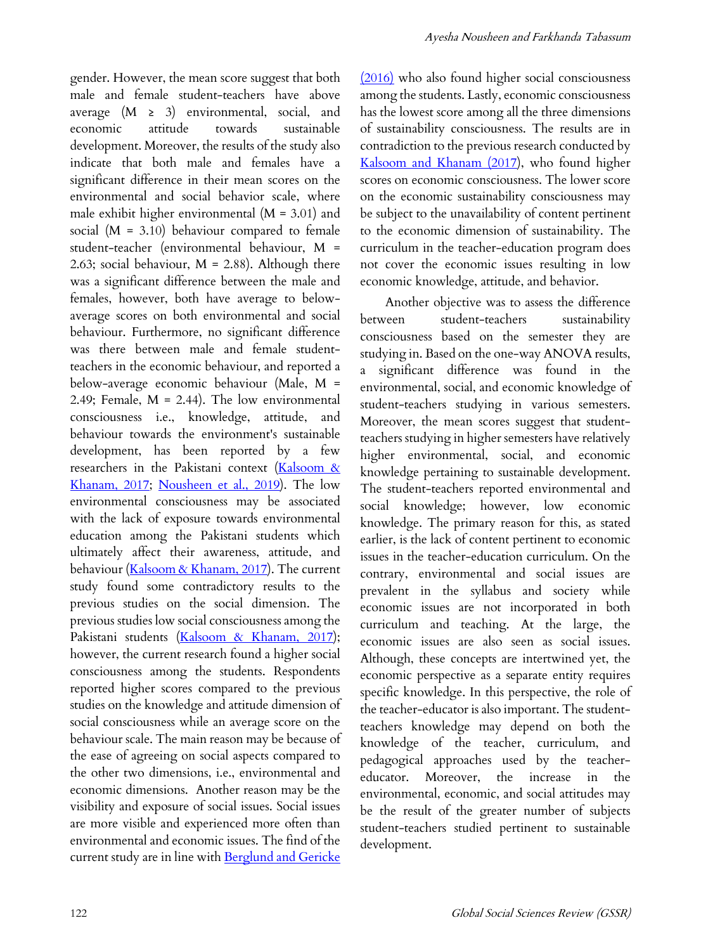gender. However, the mean score suggest that both male and female student-teachers have above average  $(M \geq 3)$  environmental, social, and economic attitude towards sustainable development. Moreover, the results of the study also indicate that both male and females have a significant difference in their mean scores on the environmental and social behavior scale, where male exhibit higher environmental (M = 3.01) and social  $(M = 3.10)$  behaviour compared to female student-teacher (environmental behaviour, M = 2.63; social behaviour,  $M = 2.88$ ). Although there was a significant difference between the male and females, however, both have average to belowaverage scores on both environmental and social behaviour. Furthermore, no significant difference was there between male and female studentteachers in the economic behaviour, and reported a below-average economic behaviour (Male, M = 2.49; Female, M = 2.44). The low environmental consciousness i.e., knowledge, attitude, and behaviour towards the environment's sustainable development, has been reported by a few researchers in the Pakistani context (Kalsoom & Khanam, 2017; Nousheen et al., 2019). The low environmental consciousness may be associated with the lack of exposure towards environmental education among the Pakistani students which ultimately affect their awareness, attitude, and behaviour (Kalsoom & Khanam, 2017). The current study found some contradictory results to the previous studies on the social dimension. The previous studies low social consciousness among the Pakistani students (Kalsoom & Khanam, 2017); however, the current research found a higher social consciousness among the students. Respondents reported higher scores compared to the previous studies on the knowledge and attitude dimension of social consciousness while an average score on the behaviour scale. The main reason may be because of the ease of agreeing on social aspects compared to the other two dimensions, i.e., environmental and economic dimensions. Another reason may be the visibility and exposure of social issues. Social issues are more visible and experienced more often than environmental and economic issues. The find of the current study are in line with Berglund and Gericke (2016) who also found higher social consciousness among the students. Lastly, economic consciousness has the lowest score among all the three dimensions of sustainability consciousness. The results are in contradiction to the previous research conducted by Kalsoom and Khanam (2017), who found higher scores on economic consciousness. The lower score on the economic sustainability consciousness may be subject to the unavailability of content pertinent to the economic dimension of sustainability. The curriculum in the teacher-education program does not cover the economic issues resulting in low economic knowledge, attitude, and behavior.

Another objective was to assess the difference between student-teachers sustainability consciousness based on the semester they are studying in. Based on the one-way ANOVA results, a significant difference was found in the environmental, social, and economic knowledge of student-teachers studying in various semesters. Moreover, the mean scores suggest that studentteachers studying in higher semesters have relatively higher environmental, social, and economic knowledge pertaining to sustainable development. The student-teachers reported environmental and social knowledge; however, low economic knowledge. The primary reason for this, as stated earlier, is the lack of content pertinent to economic issues in the teacher-education curriculum. On the contrary, environmental and social issues are prevalent in the syllabus and society while economic issues are not incorporated in both curriculum and teaching. At the large, the economic issues are also seen as social issues. Although, these concepts are intertwined yet, the economic perspective as a separate entity requires specific knowledge. In this perspective, the role of the teacher-educator is also important. The studentteachers knowledge may depend on both the knowledge of the teacher, curriculum, and pedagogical approaches used by the teachereducator. Moreover, the increase in the environmental, economic, and social attitudes may be the result of the greater number of subjects student-teachers studied pertinent to sustainable development.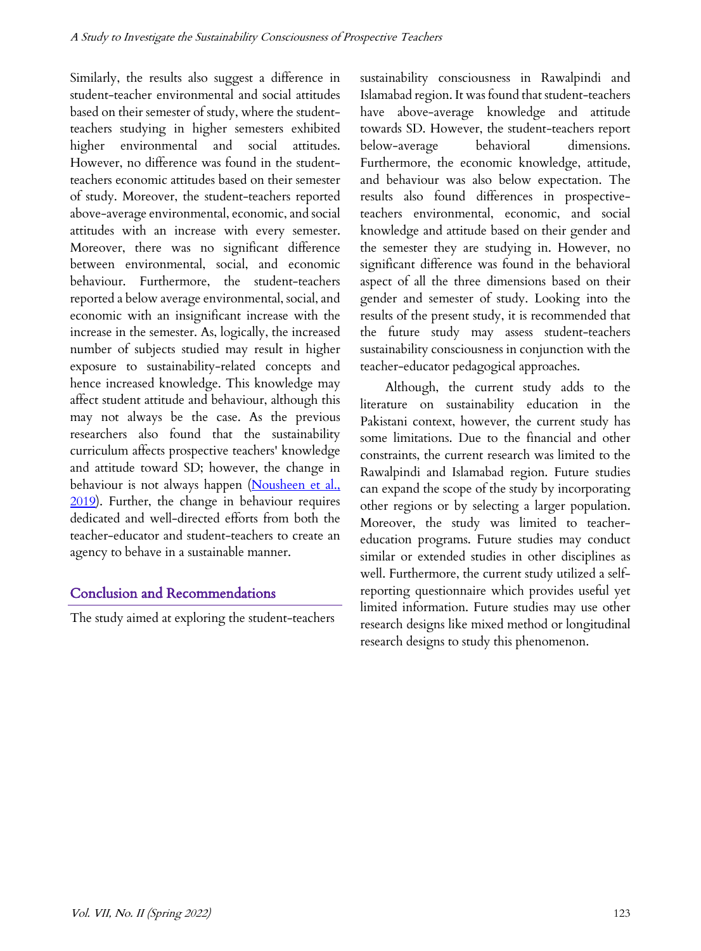Similarly, the results also suggest a difference in student-teacher environmental and social attitudes based on their semester of study, where the studentteachers studying in higher semesters exhibited higher environmental and social attitudes. However, no difference was found in the studentteachers economic attitudes based on their semester of study. Moreover, the student-teachers reported above-average environmental, economic, and social attitudes with an increase with every semester. Moreover, there was no significant difference between environmental, social, and economic behaviour. Furthermore, the student-teachers reported a below average environmental, social, and economic with an insignificant increase with the increase in the semester. As, logically, the increased number of subjects studied may result in higher exposure to sustainability-related concepts and hence increased knowledge. This knowledge may affect student attitude and behaviour, although this may not always be the case. As the previous researchers also found that the sustainability curriculum affects prospective teachers' knowledge and attitude toward SD; however, the change in behaviour is not always happen (Nousheen et al., 2019). Further, the change in behaviour requires dedicated and well-directed efforts from both the teacher-educator and student-teachers to create an agency to behave in a sustainable manner.

# Conclusion and Recommendations

The study aimed at exploring the student-teachers

sustainability consciousness in Rawalpindi and Islamabad region. It was found that student-teachers have above-average knowledge and attitude towards SD. However, the student-teachers report below-average behavioral dimensions. Furthermore, the economic knowledge, attitude, and behaviour was also below expectation. The results also found differences in prospectiveteachers environmental, economic, and social knowledge and attitude based on their gender and the semester they are studying in. However, no significant difference was found in the behavioral aspect of all the three dimensions based on their gender and semester of study. Looking into the results of the present study, it is recommended that the future study may assess student-teachers sustainability consciousness in conjunction with the teacher-educator pedagogical approaches.

Although, the current study adds to the literature on sustainability education in the Pakistani context, however, the current study has some limitations. Due to the financial and other constraints, the current research was limited to the Rawalpindi and Islamabad region. Future studies can expand the scope of the study by incorporating other regions or by selecting a larger population. Moreover, the study was limited to teachereducation programs. Future studies may conduct similar or extended studies in other disciplines as well. Furthermore, the current study utilized a selfreporting questionnaire which provides useful yet limited information. Future studies may use other research designs like mixed method or longitudinal research designs to study this phenomenon.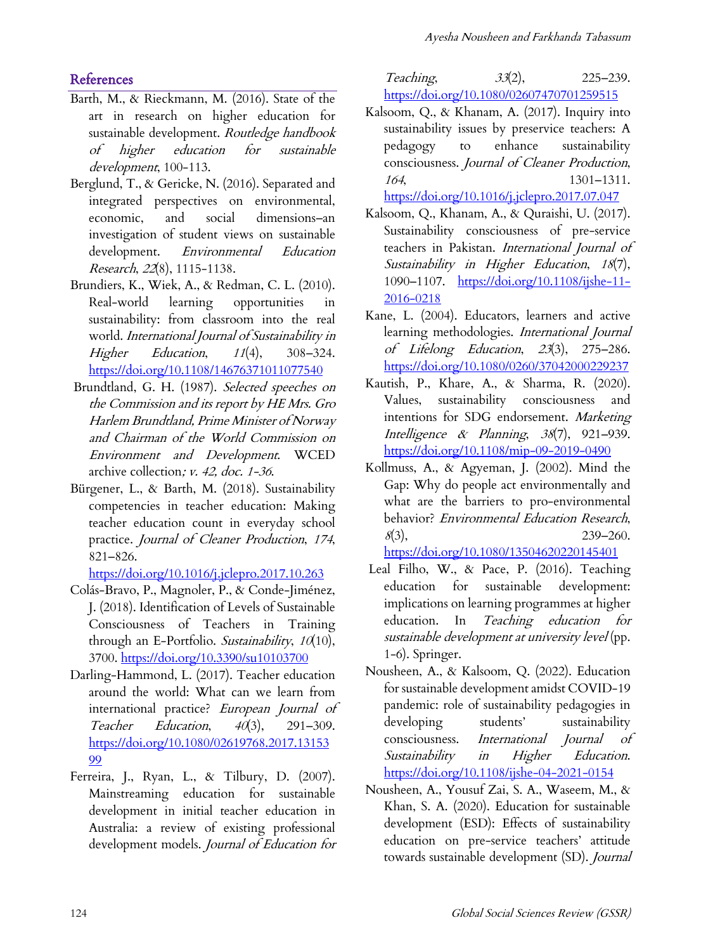# **References**

- Barth, M., & Rieckmann, M. (2016). State of the art in research on higher education for sustainable development. Routledge handbook of higher education for sustainable development, 100-113.
- Berglund, T., & Gericke, N. (2016). Separated and integrated perspectives on environmental, economic, and social dimensions–an investigation of student views on sustainable development. *Environmental Education* Research, <sup>22</sup>(8), 1115-1138.
- Brundiers, K., Wiek, A., & Redman, C. L. (2010). Real‐world learning opportunities in sustainability: from classroom into the real world. International Journal of Sustainability in Higher Education, 11(4), 308-324. https://doi.org/10.1108/14676371011077540
- Brundtland, G. H. (1987). Selected speeches on the Commission and its report by HE Mrs. Gro Harlem Brundtland, Prime Minister of Norway and Chairman of the World Commission on Environment and Development. WCED archive collection; v. 42, doc. 1-36.
- Bürgener, L., & Barth, M. (2018). Sustainability competencies in teacher education: Making teacher education count in everyday school practice. Journal of Cleaner Production, 174, 821–826.

https://doi.org/10.1016/j.jclepro.2017.10.263

- Colás-Bravo, P., Magnoler, P., & Conde-Jiménez, J. (2018). Identification of Levels of Sustainable Consciousness of Teachers in Training through an E-Portfolio. Sustainability, 10(10), 3700. https://doi.org/10.3390/su10103700
- Darling-Hammond, L. (2017). Teacher education around the world: What can we learn from international practice? European Journal of Teacher Education,  $40(3)$ , 291-309. https://doi.org/10.1080/02619768.2017.13153 99
- Ferreira, J., Ryan, L., & Tilbury, D. (2007). Mainstreaming education for sustainable development in initial teacher education in Australia: a review of existing professional development models. Journal of Education for

Teaching,  $33(2)$ , 225–239. https://doi.org/10.1080/02607470701259515

Kalsoom, Q., & Khanam, A. (2017). Inquiry into sustainability issues by preservice teachers: A pedagogy to enhance sustainability consciousness. Journal of Cleaner Production, <sup>164</sup>, 1301–1311.

https://doi.org/10.1016/j.jclepro.2017.07.047

- Kalsoom, Q., Khanam, A., & Quraishi, U. (2017). Sustainability consciousness of pre-service teachers in Pakistan. International Journal of Sustainability in Higher Education, 18(7), 1090-1107. https://doi.org/10.1108/ijshe-11-2016-0218
- Kane, L. (2004). Educators, learners and active learning methodologies. International Journal of Lifelong Education, 23(3), 275–286. https://doi.org/10.1080/0260/37042000229237
- Kautish, P., Khare, A., & Sharma, R. (2020). Values, sustainability consciousness and intentions for SDG endorsement. Marketing Intelligence & Planning, 38(7), 921–939. https://doi.org/10.1108/mip-09-2019-0490
- Kollmuss, A., & Agyeman, J. (2002). Mind the Gap: Why do people act environmentally and what are the barriers to pro-environmental behavior? Environmental Education Research,  $8(3)$ , 239–260.

https://doi.org/10.1080/13504620220145401

- Leal Filho, W., & Pace, P. (2016). Teaching education for sustainable development: implications on learning programmes at higher education. In Teaching education for sustainable development at university level (pp. 1-6). Springer.
- Nousheen, A., & Kalsoom, Q. (2022). Education for sustainable development amidst COVID-19 pandemic: role of sustainability pedagogies in developing students' sustainability consciousness. International Journal of Sustainability in Higher Education. https://doi.org/10.1108/ijshe-04-2021-0154
- Nousheen, A., Yousuf Zai, S. A., Waseem, M., & Khan, S. A. (2020). Education for sustainable development (ESD): Effects of sustainability education on pre-service teachers' attitude towards sustainable development (SD). Journal